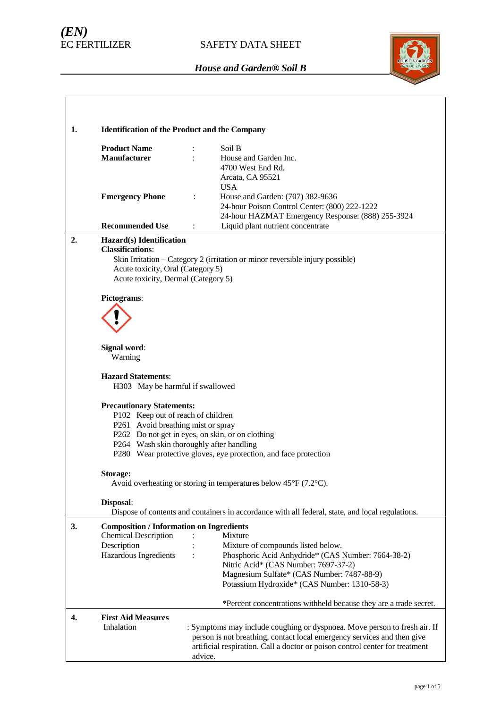# *(EN)*



| 1. | <b>Identification of the Product and the Company</b>                                                                                                                                                                                                                             |                                                                                                                                                                                                                                                             |  |  |  |  |  |
|----|----------------------------------------------------------------------------------------------------------------------------------------------------------------------------------------------------------------------------------------------------------------------------------|-------------------------------------------------------------------------------------------------------------------------------------------------------------------------------------------------------------------------------------------------------------|--|--|--|--|--|
|    | <b>Product Name</b><br><b>Manufacturer</b>                                                                                                                                                                                                                                       | Soil B<br>House and Garden Inc.<br>4700 West End Rd.<br>Arcata, CA 95521                                                                                                                                                                                    |  |  |  |  |  |
|    | <b>Emergency Phone</b>                                                                                                                                                                                                                                                           | <b>USA</b><br>House and Garden: (707) 382-9636<br>$\ddot{\cdot}$<br>24-hour Poison Control Center: (800) 222-1222<br>24-hour HAZMAT Emergency Response: (888) 255-3924                                                                                      |  |  |  |  |  |
|    | <b>Recommended Use</b>                                                                                                                                                                                                                                                           | Liquid plant nutrient concentrate<br>$\ddot{\cdot}$                                                                                                                                                                                                         |  |  |  |  |  |
| 2. | Hazard(s) Identification<br><b>Classifications:</b><br>Skin Irritation - Category 2 (irritation or minor reversible injury possible)<br>Acute toxicity, Oral (Category 5)<br>Acute toxicity, Dermal (Category 5)                                                                 |                                                                                                                                                                                                                                                             |  |  |  |  |  |
|    | Pictograms:                                                                                                                                                                                                                                                                      |                                                                                                                                                                                                                                                             |  |  |  |  |  |
|    |                                                                                                                                                                                                                                                                                  |                                                                                                                                                                                                                                                             |  |  |  |  |  |
|    | Signal word:<br>Warning                                                                                                                                                                                                                                                          |                                                                                                                                                                                                                                                             |  |  |  |  |  |
|    | <b>Hazard Statements:</b>                                                                                                                                                                                                                                                        | H303 May be harmful if swallowed                                                                                                                                                                                                                            |  |  |  |  |  |
|    | <b>Precautionary Statements:</b><br>P102 Keep out of reach of children<br>P261 Avoid breathing mist or spray<br>P262 Do not get in eyes, on skin, or on clothing<br>P264 Wash skin thoroughly after handling<br>P280 Wear protective gloves, eye protection, and face protection |                                                                                                                                                                                                                                                             |  |  |  |  |  |
|    | Storage:<br>Avoid overheating or storing in temperatures below $45^{\circ}F(7.2^{\circ}C)$ .                                                                                                                                                                                     |                                                                                                                                                                                                                                                             |  |  |  |  |  |
|    | Disposal:                                                                                                                                                                                                                                                                        | Dispose of contents and containers in accordance with all federal, state, and local regulations.                                                                                                                                                            |  |  |  |  |  |
| 3. | <b>Composition / Information on Ingredients</b><br><b>Chemical Description</b><br>Description<br>Hazardous Ingredients                                                                                                                                                           | Mixture<br>Mixture of compounds listed below.<br>Phosphoric Acid Anhydride* (CAS Number: 7664-38-2)<br>$\ddot{\cdot}$<br>Nitric Acid* (CAS Number: 7697-37-2)<br>Magnesium Sulfate* (CAS Number: 7487-88-9)<br>Potassium Hydroxide* (CAS Number: 1310-58-3) |  |  |  |  |  |
|    |                                                                                                                                                                                                                                                                                  | *Percent concentrations withheld because they are a trade secret.                                                                                                                                                                                           |  |  |  |  |  |
| 4. | <b>First Aid Measures</b><br>Inhalation                                                                                                                                                                                                                                          | : Symptoms may include coughing or dyspnoea. Move person to fresh air. If<br>person is not breathing, contact local emergency services and then give<br>artificial respiration. Call a doctor or poison control center for treatment<br>advice.             |  |  |  |  |  |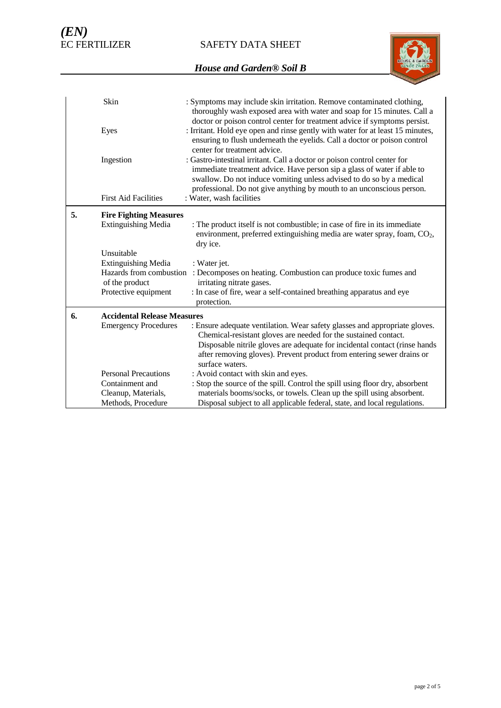SAFETY DATA SHEET



| : Symptoms may include skin irritation. Remove contaminated clothing,<br>thoroughly wash exposed area with water and soap for 15 minutes. Call a<br>doctor or poison control center for treatment advice if symptoms persist.                                                                                           |
|-------------------------------------------------------------------------------------------------------------------------------------------------------------------------------------------------------------------------------------------------------------------------------------------------------------------------|
| : Irritant. Hold eye open and rinse gently with water for at least 15 minutes,<br>ensuring to flush underneath the eyelids. Call a doctor or poison control<br>center for treatment advice.                                                                                                                             |
| : Gastro-intestinal irritant. Call a doctor or poison control center for<br>immediate treatment advice. Have person sip a glass of water if able to<br>swallow. Do not induce vomiting unless advised to do so by a medical<br>professional. Do not give anything by mouth to an unconscious person.                    |
| : Water, wash facilities                                                                                                                                                                                                                                                                                                |
| <b>Fire Fighting Measures</b>                                                                                                                                                                                                                                                                                           |
| : The product itself is not combustible; in case of fire in its immediate<br>environment, preferred extinguishing media are water spray, foam, $CO2$ ,<br>dry ice.                                                                                                                                                      |
|                                                                                                                                                                                                                                                                                                                         |
| : Water jet.<br>Hazards from combustion<br>: Decomposes on heating. Combustion can produce toxic fumes and<br>irritating nitrate gases.                                                                                                                                                                                 |
| : In case of fire, wear a self-contained breathing apparatus and eye<br>protection.                                                                                                                                                                                                                                     |
| <b>Accidental Release Measures</b>                                                                                                                                                                                                                                                                                      |
| : Ensure adequate ventilation. Wear safety glasses and appropriate gloves.<br>Chemical-resistant gloves are needed for the sustained contact.<br>Disposable nitrile gloves are adequate for incidental contact (rinse hands<br>after removing gloves). Prevent product from entering sewer drains or<br>surface waters. |
| : Avoid contact with skin and eyes.                                                                                                                                                                                                                                                                                     |
| : Stop the source of the spill. Control the spill using floor dry, absorbent<br>materials booms/socks, or towels. Clean up the spill using absorbent.                                                                                                                                                                   |
| Disposal subject to all applicable federal, state, and local regulations.                                                                                                                                                                                                                                               |
|                                                                                                                                                                                                                                                                                                                         |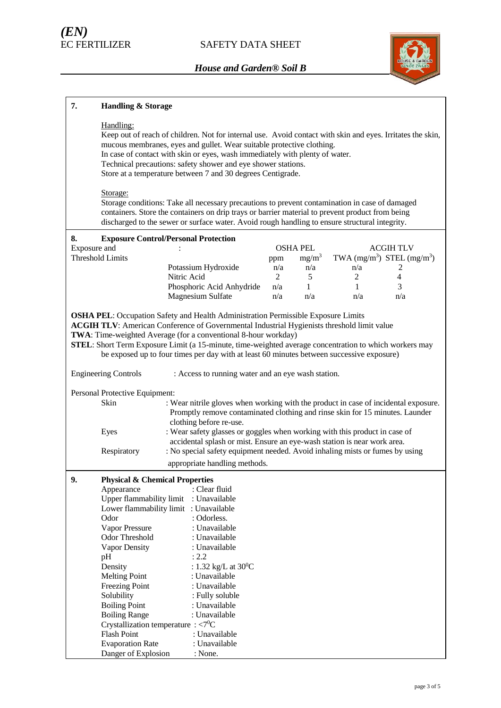

| 7.                                                                                                                                                                                                                                                                                                                                                                                                                                                              | <b>Handling &amp; Storage</b>                                                                                                                                                                                                                                                                                                                                                                                    |                                                                                                                                                                                                                                                                                                      |                |                 |              |                                |
|-----------------------------------------------------------------------------------------------------------------------------------------------------------------------------------------------------------------------------------------------------------------------------------------------------------------------------------------------------------------------------------------------------------------------------------------------------------------|------------------------------------------------------------------------------------------------------------------------------------------------------------------------------------------------------------------------------------------------------------------------------------------------------------------------------------------------------------------------------------------------------------------|------------------------------------------------------------------------------------------------------------------------------------------------------------------------------------------------------------------------------------------------------------------------------------------------------|----------------|-----------------|--------------|--------------------------------|
|                                                                                                                                                                                                                                                                                                                                                                                                                                                                 | Handling:<br>Keep out of reach of children. Not for internal use. Avoid contact with skin and eyes. Irritates the skin,<br>mucous membranes, eyes and gullet. Wear suitable protective clothing.<br>In case of contact with skin or eyes, wash immediately with plenty of water.<br>Technical precautions: safety shower and eye shower stations.<br>Store at a temperature between 7 and 30 degrees Centigrade. |                                                                                                                                                                                                                                                                                                      |                |                 |              |                                |
|                                                                                                                                                                                                                                                                                                                                                                                                                                                                 | Storage:                                                                                                                                                                                                                                                                                                                                                                                                         | Storage conditions: Take all necessary precautions to prevent contamination in case of damaged<br>containers. Store the containers on drip trays or barrier material to prevent product from being<br>discharged to the sewer or surface water. Avoid rough handling to ensure structural integrity. |                |                 |              |                                |
| 8.                                                                                                                                                                                                                                                                                                                                                                                                                                                              |                                                                                                                                                                                                                                                                                                                                                                                                                  | <b>Exposure Control/Personal Protection</b>                                                                                                                                                                                                                                                          |                |                 |              |                                |
| Exposure and                                                                                                                                                                                                                                                                                                                                                                                                                                                    |                                                                                                                                                                                                                                                                                                                                                                                                                  |                                                                                                                                                                                                                                                                                                      |                | <b>OSHA PEL</b> |              | <b>ACGIH TLV</b>               |
|                                                                                                                                                                                                                                                                                                                                                                                                                                                                 | <b>Threshold Limits</b>                                                                                                                                                                                                                                                                                                                                                                                          |                                                                                                                                                                                                                                                                                                      | ppm            | $mg/m^3$        |              | TWA $(mg/m^3)$ STEL $(mg/m^3)$ |
|                                                                                                                                                                                                                                                                                                                                                                                                                                                                 |                                                                                                                                                                                                                                                                                                                                                                                                                  | Potassium Hydroxide                                                                                                                                                                                                                                                                                  | n/a            | n/a             | n/a          | 2                              |
|                                                                                                                                                                                                                                                                                                                                                                                                                                                                 |                                                                                                                                                                                                                                                                                                                                                                                                                  | Nitric Acid                                                                                                                                                                                                                                                                                          | $\overline{2}$ | 5               | 2            | 4                              |
|                                                                                                                                                                                                                                                                                                                                                                                                                                                                 |                                                                                                                                                                                                                                                                                                                                                                                                                  | Phosphoric Acid Anhydride                                                                                                                                                                                                                                                                            | n/a            | 1               | $\mathbf{1}$ | 3                              |
|                                                                                                                                                                                                                                                                                                                                                                                                                                                                 |                                                                                                                                                                                                                                                                                                                                                                                                                  | Magnesium Sulfate                                                                                                                                                                                                                                                                                    | n/a            | n/a             | n/a          | n/a                            |
| <b>OSHA PEL:</b> Occupation Safety and Health Administration Permissible Exposure Limits<br>ACGIH TLV: American Conference of Governmental Industrial Hygienists threshold limit value<br>TWA: Time-weighted Average (for a conventional 8-hour workday)<br>STEL: Short Term Exposure Limit (a 15-minute, time-weighted average concentration to which workers may<br>be exposed up to four times per day with at least 60 minutes between successive exposure) |                                                                                                                                                                                                                                                                                                                                                                                                                  |                                                                                                                                                                                                                                                                                                      |                |                 |              |                                |
|                                                                                                                                                                                                                                                                                                                                                                                                                                                                 | <b>Engineering Controls</b>                                                                                                                                                                                                                                                                                                                                                                                      | : Access to running water and an eye wash station.                                                                                                                                                                                                                                                   |                |                 |              |                                |
|                                                                                                                                                                                                                                                                                                                                                                                                                                                                 | Personal Protective Equipment:<br>Skin                                                                                                                                                                                                                                                                                                                                                                           | : Wear nitrile gloves when working with the product in case of incidental exposure.<br>Promptly remove contaminated clothing and rinse skin for 15 minutes. Launder<br>clothing before re-use.                                                                                                       |                |                 |              |                                |
|                                                                                                                                                                                                                                                                                                                                                                                                                                                                 | Eyes                                                                                                                                                                                                                                                                                                                                                                                                             | : Wear safety glasses or goggles when working with this product in case of<br>accidental splash or mist. Ensure an eye-wash station is near work area.                                                                                                                                               |                |                 |              |                                |
|                                                                                                                                                                                                                                                                                                                                                                                                                                                                 | Respiratory                                                                                                                                                                                                                                                                                                                                                                                                      | : No special safety equipment needed. Avoid inhaling mists or fumes by using                                                                                                                                                                                                                         |                |                 |              |                                |
|                                                                                                                                                                                                                                                                                                                                                                                                                                                                 |                                                                                                                                                                                                                                                                                                                                                                                                                  | appropriate handling methods.                                                                                                                                                                                                                                                                        |                |                 |              |                                |
| 9.                                                                                                                                                                                                                                                                                                                                                                                                                                                              | <b>Physical &amp; Chemical Properties</b>                                                                                                                                                                                                                                                                                                                                                                        |                                                                                                                                                                                                                                                                                                      |                |                 |              |                                |
|                                                                                                                                                                                                                                                                                                                                                                                                                                                                 | Appearance                                                                                                                                                                                                                                                                                                                                                                                                       | : Clear fluid                                                                                                                                                                                                                                                                                        |                |                 |              |                                |
|                                                                                                                                                                                                                                                                                                                                                                                                                                                                 | Upper flammability limit                                                                                                                                                                                                                                                                                                                                                                                         | : Unavailable                                                                                                                                                                                                                                                                                        |                |                 |              |                                |
|                                                                                                                                                                                                                                                                                                                                                                                                                                                                 |                                                                                                                                                                                                                                                                                                                                                                                                                  | Lower flammability limit : Unavailable                                                                                                                                                                                                                                                               |                |                 |              |                                |
|                                                                                                                                                                                                                                                                                                                                                                                                                                                                 | Odor                                                                                                                                                                                                                                                                                                                                                                                                             | : Odorless.                                                                                                                                                                                                                                                                                          |                |                 |              |                                |
|                                                                                                                                                                                                                                                                                                                                                                                                                                                                 | Vapor Pressure                                                                                                                                                                                                                                                                                                                                                                                                   | : Unavailable                                                                                                                                                                                                                                                                                        |                |                 |              |                                |
|                                                                                                                                                                                                                                                                                                                                                                                                                                                                 | Odor Threshold                                                                                                                                                                                                                                                                                                                                                                                                   | : Unavailable                                                                                                                                                                                                                                                                                        |                |                 |              |                                |
|                                                                                                                                                                                                                                                                                                                                                                                                                                                                 | Vapor Density                                                                                                                                                                                                                                                                                                                                                                                                    | : Unavailable                                                                                                                                                                                                                                                                                        |                |                 |              |                                |
|                                                                                                                                                                                                                                                                                                                                                                                                                                                                 | pH                                                                                                                                                                                                                                                                                                                                                                                                               | : 2.2                                                                                                                                                                                                                                                                                                |                |                 |              |                                |
|                                                                                                                                                                                                                                                                                                                                                                                                                                                                 | Density                                                                                                                                                                                                                                                                                                                                                                                                          | : 1.32 kg/L at $30^{\circ}$ C                                                                                                                                                                                                                                                                        |                |                 |              |                                |
|                                                                                                                                                                                                                                                                                                                                                                                                                                                                 | <b>Melting Point</b>                                                                                                                                                                                                                                                                                                                                                                                             | : Unavailable                                                                                                                                                                                                                                                                                        |                |                 |              |                                |
|                                                                                                                                                                                                                                                                                                                                                                                                                                                                 | Freezing Point                                                                                                                                                                                                                                                                                                                                                                                                   | : Unavailable                                                                                                                                                                                                                                                                                        |                |                 |              |                                |
|                                                                                                                                                                                                                                                                                                                                                                                                                                                                 | Solubility                                                                                                                                                                                                                                                                                                                                                                                                       | : Fully soluble                                                                                                                                                                                                                                                                                      |                |                 |              |                                |
|                                                                                                                                                                                                                                                                                                                                                                                                                                                                 | <b>Boiling Point</b>                                                                                                                                                                                                                                                                                                                                                                                             | : Unavailable                                                                                                                                                                                                                                                                                        |                |                 |              |                                |
|                                                                                                                                                                                                                                                                                                                                                                                                                                                                 | <b>Boiling Range</b>                                                                                                                                                                                                                                                                                                                                                                                             | : Unavailable                                                                                                                                                                                                                                                                                        |                |                 |              |                                |
|                                                                                                                                                                                                                                                                                                                                                                                                                                                                 | Crystallization temperature : $\langle 7^0C \rangle$                                                                                                                                                                                                                                                                                                                                                             |                                                                                                                                                                                                                                                                                                      |                |                 |              |                                |
|                                                                                                                                                                                                                                                                                                                                                                                                                                                                 | <b>Flash Point</b>                                                                                                                                                                                                                                                                                                                                                                                               | : Unavailable                                                                                                                                                                                                                                                                                        |                |                 |              |                                |
|                                                                                                                                                                                                                                                                                                                                                                                                                                                                 | <b>Evaporation Rate</b>                                                                                                                                                                                                                                                                                                                                                                                          | : Unavailable                                                                                                                                                                                                                                                                                        |                |                 |              |                                |
|                                                                                                                                                                                                                                                                                                                                                                                                                                                                 | Danger of Explosion                                                                                                                                                                                                                                                                                                                                                                                              | : None.                                                                                                                                                                                                                                                                                              |                |                 |              |                                |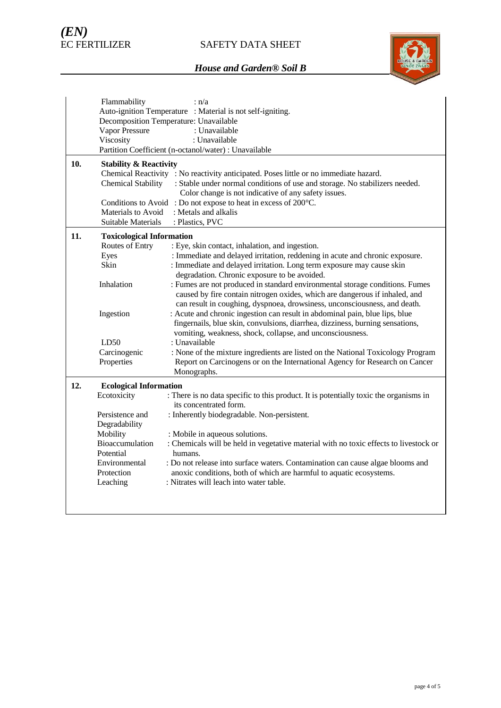

|     | Flammability                                               | : n/a                                                                                                                           |  |  |  |  |
|-----|------------------------------------------------------------|---------------------------------------------------------------------------------------------------------------------------------|--|--|--|--|
|     | Auto-ignition Temperature : Material is not self-igniting. |                                                                                                                                 |  |  |  |  |
|     |                                                            | Decomposition Temperature: Unavailable                                                                                          |  |  |  |  |
|     | Vapor Pressure                                             | : Unavailable                                                                                                                   |  |  |  |  |
|     | Viscosity                                                  | : Unavailable                                                                                                                   |  |  |  |  |
|     |                                                            | Partition Coefficient (n-octanol/water) : Unavailable                                                                           |  |  |  |  |
| 10. | <b>Stability &amp; Reactivity</b>                          |                                                                                                                                 |  |  |  |  |
|     |                                                            | Chemical Reactivity : No reactivity anticipated. Poses little or no immediate hazard.                                           |  |  |  |  |
|     | <b>Chemical Stability</b>                                  | : Stable under normal conditions of use and storage. No stabilizers needed.                                                     |  |  |  |  |
|     |                                                            | Color change is not indicative of any safety issues.                                                                            |  |  |  |  |
|     |                                                            | Conditions to Avoid: Do not expose to heat in excess of 200°C.                                                                  |  |  |  |  |
|     | Materials to Avoid                                         | : Metals and alkalis                                                                                                            |  |  |  |  |
|     | Suitable Materials                                         | : Plastics, PVC                                                                                                                 |  |  |  |  |
| 11. |                                                            |                                                                                                                                 |  |  |  |  |
|     | <b>Toxicological Information</b>                           |                                                                                                                                 |  |  |  |  |
|     | Routes of Entry                                            | : Eye, skin contact, inhalation, and ingestion.<br>: Immediate and delayed irritation, reddening in acute and chronic exposure. |  |  |  |  |
|     | Eyes<br>Skin                                               | : Immediate and delayed irritation. Long term exposure may cause skin                                                           |  |  |  |  |
|     |                                                            | degradation. Chronic exposure to be avoided.                                                                                    |  |  |  |  |
|     | Inhalation                                                 | : Fumes are not produced in standard environmental storage conditions. Fumes                                                    |  |  |  |  |
|     |                                                            | caused by fire contain nitrogen oxides, which are dangerous if inhaled, and                                                     |  |  |  |  |
|     |                                                            | can result in coughing, dyspnoea, drowsiness, unconsciousness, and death.                                                       |  |  |  |  |
|     | Ingestion                                                  | : Acute and chronic ingestion can result in abdominal pain, blue lips, blue                                                     |  |  |  |  |
|     |                                                            | fingernails, blue skin, convulsions, diarrhea, dizziness, burning sensations,                                                   |  |  |  |  |
|     |                                                            | vomiting, weakness, shock, collapse, and unconsciousness.                                                                       |  |  |  |  |
|     | LD50                                                       | : Unavailable                                                                                                                   |  |  |  |  |
|     | Carcinogenic                                               | : None of the mixture ingredients are listed on the National Toxicology Program                                                 |  |  |  |  |
|     | Properties                                                 | Report on Carcinogens or on the International Agency for Research on Cancer                                                     |  |  |  |  |
|     |                                                            | Monographs.                                                                                                                     |  |  |  |  |
|     |                                                            |                                                                                                                                 |  |  |  |  |
| 12. | <b>Ecological Information</b>                              |                                                                                                                                 |  |  |  |  |
|     | Ecotoxicity                                                | : There is no data specific to this product. It is potentially toxic the organisms in                                           |  |  |  |  |
|     |                                                            | its concentrated form.                                                                                                          |  |  |  |  |
|     | Persistence and                                            | : Inherently biodegradable. Non-persistent.                                                                                     |  |  |  |  |
|     | Degradability                                              |                                                                                                                                 |  |  |  |  |
|     | Mobility                                                   | : Mobile in aqueous solutions.                                                                                                  |  |  |  |  |
|     | Bioaccumulation                                            | : Chemicals will be held in vegetative material with no toxic effects to livestock or                                           |  |  |  |  |
|     | Potential                                                  | humans.                                                                                                                         |  |  |  |  |
|     | Environmental                                              | : Do not release into surface waters. Contamination can cause algae blooms and                                                  |  |  |  |  |
|     | Protection                                                 | anoxic conditions, both of which are harmful to aquatic ecosystems.                                                             |  |  |  |  |
|     | Leaching                                                   | : Nitrates will leach into water table.                                                                                         |  |  |  |  |
|     |                                                            |                                                                                                                                 |  |  |  |  |
|     |                                                            |                                                                                                                                 |  |  |  |  |